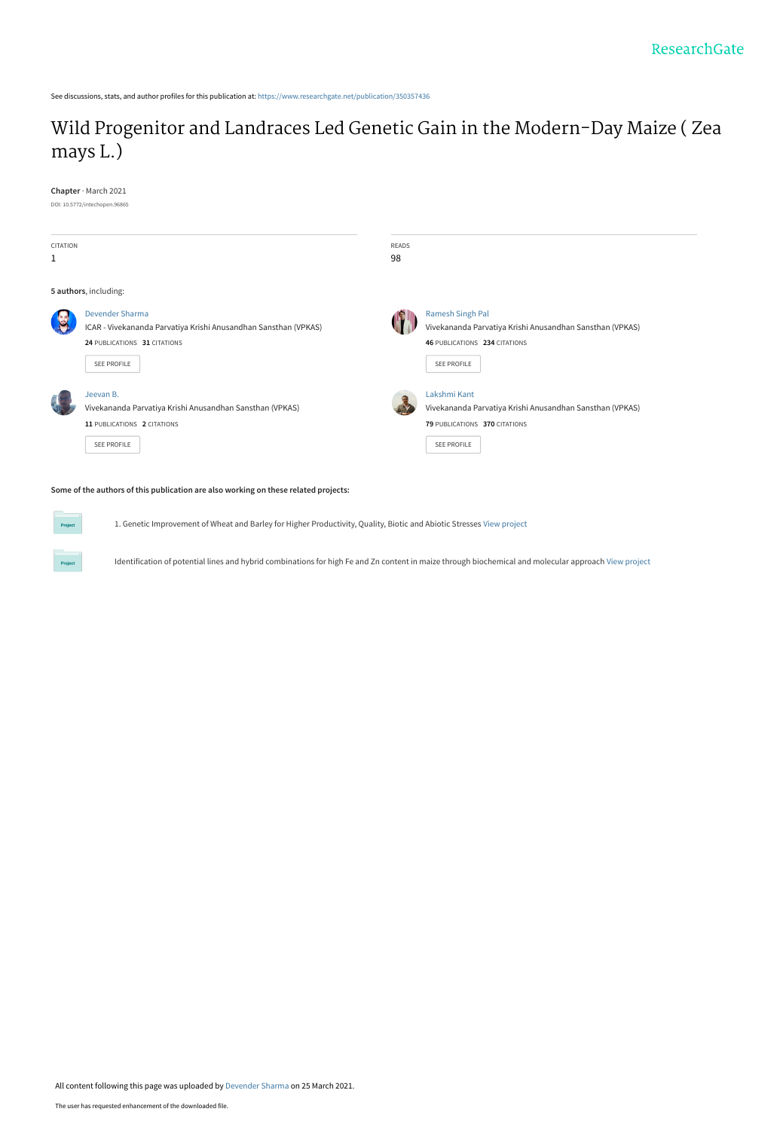See discussions, stats, and author profiles for this publication at: [https://www.researchgate.net/publication/350357436](https://www.researchgate.net/publication/350357436_Wild_Progenitor_and_Landraces_Led_Genetic_Gain_in_the_Modern-Day_Maize_Zea_mays_L?enrichId=rgreq-da2df58ccd7e394b9f6ead31a6ea371d-XXX&enrichSource=Y292ZXJQYWdlOzM1MDM1NzQzNjtBUzoxMDA1MjI1MjA0Nzc2OTYyQDE2MTY2NzU3NzMyODc%3D&el=1_x_2&_esc=publicationCoverPdf)

## [Wild Progenitor and Landraces Led Genetic Gain in the Modern-Day Maize \( Zea](https://www.researchgate.net/publication/350357436_Wild_Progenitor_and_Landraces_Led_Genetic_Gain_in_the_Modern-Day_Maize_Zea_mays_L?enrichId=rgreq-da2df58ccd7e394b9f6ead31a6ea371d-XXX&enrichSource=Y292ZXJQYWdlOzM1MDM1NzQzNjtBUzoxMDA1MjI1MjA0Nzc2OTYyQDE2MTY2NzU3NzMyODc%3D&el=1_x_3&_esc=publicationCoverPdf) mays L.)

**Chapter** · March 2021



1. Genetic Improvement of Wheat and Barley for Higher Productivity, Quality, Biotic and Abiotic Stresses [View project](https://www.researchgate.net/project/1-Genetic-Improvement-of-Wheat-and-Barley-for-Higher-Productivity-Quality-Biotic-and-Abiotic-Stresses?enrichId=rgreq-da2df58ccd7e394b9f6ead31a6ea371d-XXX&enrichSource=Y292ZXJQYWdlOzM1MDM1NzQzNjtBUzoxMDA1MjI1MjA0Nzc2OTYyQDE2MTY2NzU3NzMyODc%3D&el=1_x_9&_esc=publicationCoverPdf)

Identification of potential lines and hybrid combinations for high Fe and Zn content in maize through biochemical and molecular approach [View project](https://www.researchgate.net/project/Identification-of-potential-lines-and-hybrid-combinations-for-high-Fe-and-Zn-content-in-maize-through-biochemical-and-molecular-approach?enrichId=rgreq-da2df58ccd7e394b9f6ead31a6ea371d-XXX&enrichSource=Y292ZXJQYWdlOzM1MDM1NzQzNjtBUzoxMDA1MjI1MjA0Nzc2OTYyQDE2MTY2NzU3NzMyODc%3D&el=1_x_9&_esc=publicationCoverPdf)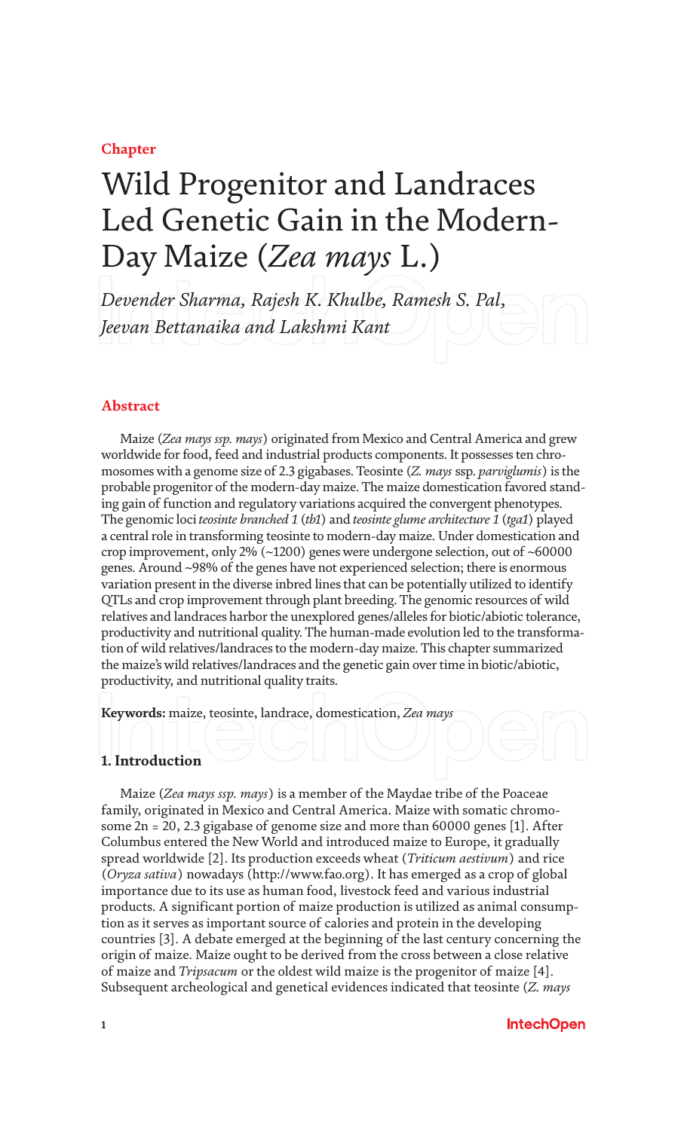**Chapter**

# Wild Progenitor and Landraces Led Genetic Gain in the Modern-Day Maize (*Zea mays* L.)

*Devender Sharma, Rajesh K. Khulbe, Ramesh S. Pal, Jeevan Bettanaika and Lakshmi Kant*

#### **Abstract**

Maize (*Zea mays ssp. mays*) originated from Mexico and Central America and grew worldwide for food, feed and industrial products components. It possesses ten chromosomes with a genome size of 2.3 gigabases. Teosinte (*Z. mays* ssp. *parviglumis*) is the probable progenitor of the modern-day maize. The maize domestication favored standing gain of function and regulatory variations acquired the convergent phenotypes. The genomic loci *teosinte branched 1* (*tb1*) and *teosinte glume architecture 1* (*tga1*) played a central role in transforming teosinte to modern-day maize. Under domestication and crop improvement, only 2% (~1200) genes were undergone selection, out of ~60000 genes. Around ~98% of the genes have not experienced selection; there is enormous variation present in the diverse inbred lines that can be potentially utilized to identify QTLs and crop improvement through plant breeding. The genomic resources of wild relatives and landraces harbor the unexplored genes/alleles for biotic/abiotic tolerance, productivity and nutritional quality. The human-made evolution led to the transformation of wild relatives/landraces to the modern-day maize. This chapter summarized the maize's wild relatives/landraces and the genetic gain over time in biotic/abiotic, productivity, and nutritional quality traits.

**Keywords:** maize, teosinte, landrace, domestication, *Zea mays*

#### **1. Introduction**

Maize (*Zea mays ssp. mays*) is a member of the Maydae tribe of the Poaceae family, originated in Mexico and Central America. Maize with somatic chromosome 2n = 20, 2.3 gigabase of genome size and more than 60000 genes [1]. After Columbus entered the New World and introduced maize to Europe, it gradually spread worldwide [2]. Its production exceeds wheat (*Triticum aestivum*) and rice (*Oryza sativa*) nowadays (http://www.fao.org). It has emerged as a crop of global importance due to its use as human food, livestock feed and various industrial products. A significant portion of maize production is utilized as animal consumption as it serves as important source of calories and protein in the developing countries [3]. A debate emerged at the beginning of the last century concerning the origin of maize. Maize ought to be derived from the cross between a close relative of maize and *Tripsacum* or the oldest wild maize is the progenitor of maize [4]. Subsequent archeological and genetical evidences indicated that teosinte (*Z. mays*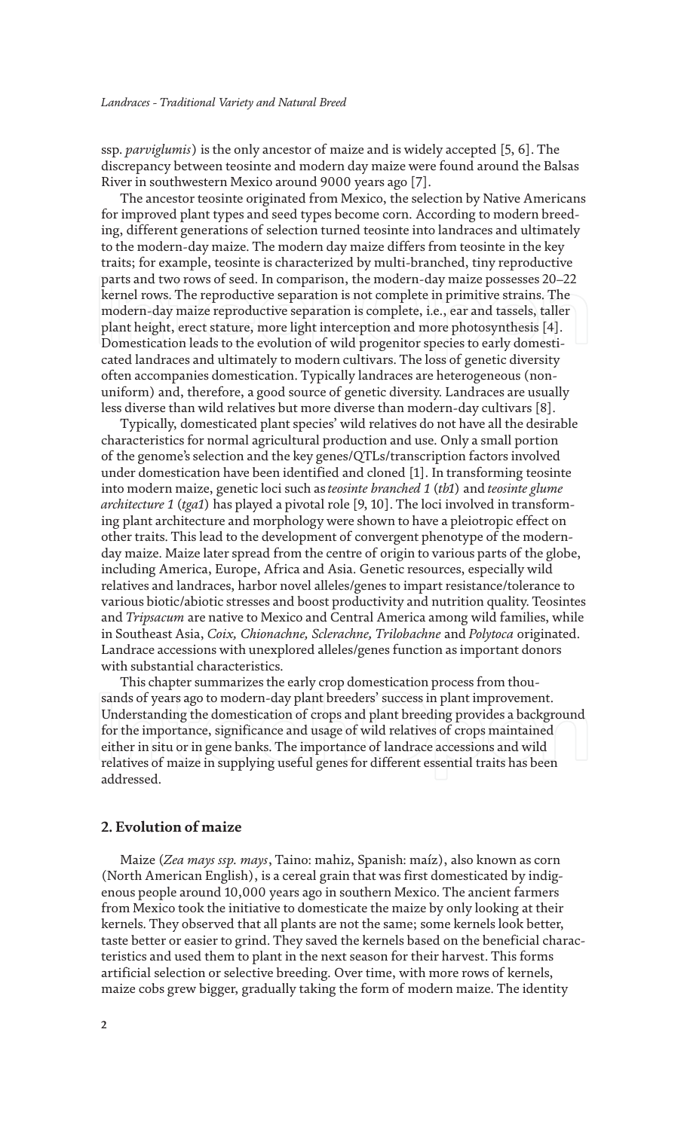ssp. *parviglumis*) is the only ancestor of maize and is widely accepted [5, 6]. The discrepancy between teosinte and modern day maize were found around the Balsas River in southwestern Mexico around 9000 years ago [7].

The ancestor teosinte originated from Mexico, the selection by Native Americans for improved plant types and seed types become corn. According to modern breeding, different generations of selection turned teosinte into landraces and ultimately to the modern-day maize. The modern day maize differs from teosinte in the key traits; for example, teosinte is characterized by multi-branched, tiny reproductive parts and two rows of seed. In comparison, the modern-day maize possesses 20–22 kernel rows. The reproductive separation is not complete in primitive strains. The modern-day maize reproductive separation is complete, i.e., ear and tassels, taller plant height, erect stature, more light interception and more photosynthesis [4]. Domestication leads to the evolution of wild progenitor species to early domesticated landraces and ultimately to modern cultivars. The loss of genetic diversity often accompanies domestication. Typically landraces are heterogeneous (nonuniform) and, therefore, a good source of genetic diversity. Landraces are usually less diverse than wild relatives but more diverse than modern-day cultivars [8].

Typically, domesticated plant species' wild relatives do not have all the desirable characteristics for normal agricultural production and use. Only a small portion of the genome's selection and the key genes/QTLs/transcription factors involved under domestication have been identified and cloned [1]. In transforming teosinte into modern maize, genetic loci such as *teosinte branched 1* (*tb1*) and *teosinte glume architecture 1* (*tga1*) has played a pivotal role [9, 10]. The loci involved in transforming plant architecture and morphology were shown to have a pleiotropic effect on other traits. This lead to the development of convergent phenotype of the modernday maize. Maize later spread from the centre of origin to various parts of the globe, including America, Europe, Africa and Asia. Genetic resources, especially wild relatives and landraces, harbor novel alleles/genes to impart resistance/tolerance to various biotic/abiotic stresses and boost productivity and nutrition quality. Teosintes and *Tripsacum* are native to Mexico and Central America among wild families, while in Southeast Asia, *Coix, Chionachne, Sclerachne, Trilobachne* and *Polytoca* originated. Landrace accessions with unexplored alleles/genes function as important donors with substantial characteristics.

This chapter summarizes the early crop domestication process from thousands of years ago to modern-day plant breeders' success in plant improvement. Understanding the domestication of crops and plant breeding provides a background for the importance, significance and usage of wild relatives of crops maintained either in situ or in gene banks. The importance of landrace accessions and wild relatives of maize in supplying useful genes for different essential traits has been addressed.

#### **2. Evolution of maize**

Maize (*Zea mays ssp. mays*, Taino: mahiz, Spanish: maíz), also known as corn (North American English), is a cereal grain that was first domesticated by indigenous people around 10,000 years ago in southern Mexico. The ancient farmers from Mexico took the initiative to domesticate the maize by only looking at their kernels. They observed that all plants are not the same; some kernels look better, taste better or easier to grind. They saved the kernels based on the beneficial characteristics and used them to plant in the next season for their harvest. This forms artificial selection or selective breeding. Over time, with more rows of kernels, maize cobs grew bigger, gradually taking the form of modern maize. The identity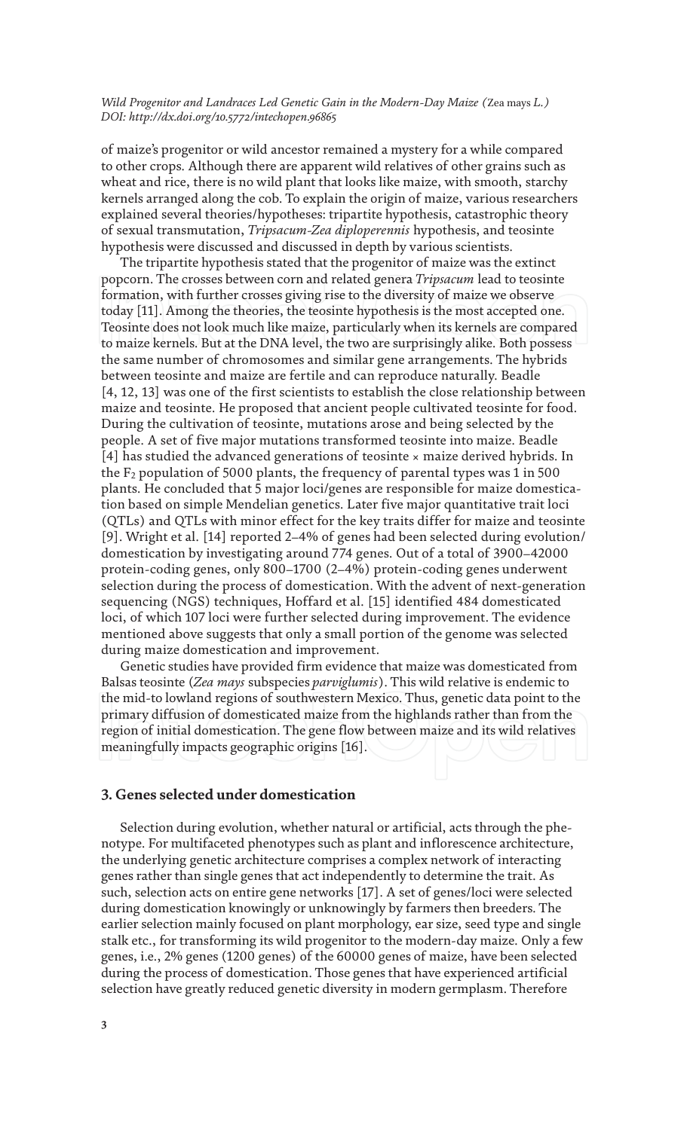of maize's progenitor or wild ancestor remained a mystery for a while compared to other crops. Although there are apparent wild relatives of other grains such as wheat and rice, there is no wild plant that looks like maize, with smooth, starchy kernels arranged along the cob. To explain the origin of maize, various researchers explained several theories/hypotheses: tripartite hypothesis, catastrophic theory of sexual transmutation, *Tripsacum-Zea diploperennis* hypothesis, and teosinte hypothesis were discussed and discussed in depth by various scientists.

The tripartite hypothesis stated that the progenitor of maize was the extinct popcorn. The crosses between corn and related genera *Tripsacum* lead to teosinte formation, with further crosses giving rise to the diversity of maize we observe today [11]. Among the theories, the teosinte hypothesis is the most accepted one. Teosinte does not look much like maize, particularly when its kernels are compared to maize kernels. But at the DNA level, the two are surprisingly alike. Both possess the same number of chromosomes and similar gene arrangements. The hybrids between teosinte and maize are fertile and can reproduce naturally. Beadle [4, 12, 13] was one of the first scientists to establish the close relationship between maize and teosinte. He proposed that ancient people cultivated teosinte for food. During the cultivation of teosinte, mutations arose and being selected by the people. A set of five major mutations transformed teosinte into maize. Beadle [4] has studied the advanced generations of teosinte × maize derived hybrids. In the  $F_2$  population of 5000 plants, the frequency of parental types was 1 in 500 plants. He concluded that 5 major loci/genes are responsible for maize domestication based on simple Mendelian genetics. Later five major quantitative trait loci (QTLs) and QTLs with minor effect for the key traits differ for maize and teosinte [9]. Wright et al. [14] reported 2–4% of genes had been selected during evolution/ domestication by investigating around 774 genes. Out of a total of 3900–42000 protein-coding genes, only 800–1700 (2–4%) protein-coding genes underwent selection during the process of domestication. With the advent of next-generation sequencing (NGS) techniques, Hoffard et al. [15] identified 484 domesticated loci, of which 107 loci were further selected during improvement. The evidence mentioned above suggests that only a small portion of the genome was selected during maize domestication and improvement.

Genetic studies have provided firm evidence that maize was domesticated from Balsas teosinte (*Zea mays* subspecies *parviglumis*). This wild relative is endemic to the mid-to lowland regions of southwestern Mexico. Thus, genetic data point to the primary diffusion of domesticated maize from the highlands rather than from the region of initial domestication. The gene flow between maize and its wild relatives meaningfully impacts geographic origins [16].

#### **3. Genes selected under domestication**

Selection during evolution, whether natural or artificial, acts through the phenotype. For multifaceted phenotypes such as plant and inflorescence architecture, the underlying genetic architecture comprises a complex network of interacting genes rather than single genes that act independently to determine the trait. As such, selection acts on entire gene networks [17]. A set of genes/loci were selected during domestication knowingly or unknowingly by farmers then breeders. The earlier selection mainly focused on plant morphology, ear size, seed type and single stalk etc., for transforming its wild progenitor to the modern-day maize. Only a few genes, i.e., 2% genes (1200 genes) of the 60000 genes of maize, have been selected during the process of domestication. Those genes that have experienced artificial selection have greatly reduced genetic diversity in modern germplasm. Therefore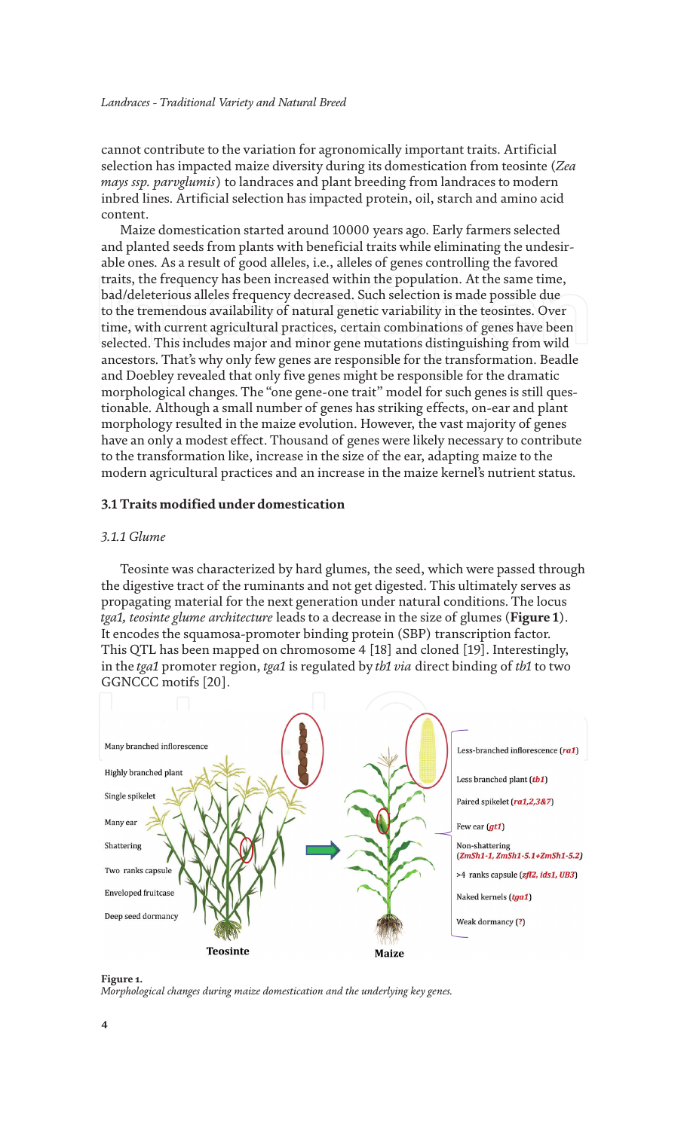cannot contribute to the variation for agronomically important traits. Artificial selection has impacted maize diversity during its domestication from teosinte (*Zea mays ssp. parvglumis*) to landraces and plant breeding from landraces to modern inbred lines. Artificial selection has impacted protein, oil, starch and amino acid content.

Maize domestication started around 10000 years ago. Early farmers selected and planted seeds from plants with beneficial traits while eliminating the undesirable ones. As a result of good alleles, i.e., alleles of genes controlling the favored traits, the frequency has been increased within the population. At the same time, bad/deleterious alleles frequency decreased. Such selection is made possible due to the tremendous availability of natural genetic variability in the teosintes. Over time, with current agricultural practices, certain combinations of genes have been selected. This includes major and minor gene mutations distinguishing from wild ancestors. That's why only few genes are responsible for the transformation. Beadle and Doebley revealed that only five genes might be responsible for the dramatic morphological changes. The "one gene-one trait" model for such genes is still questionable. Although a small number of genes has striking effects, on-ear and plant morphology resulted in the maize evolution. However, the vast majority of genes have an only a modest effect. Thousand of genes were likely necessary to contribute to the transformation like, increase in the size of the ear, adapting maize to the modern agricultural practices and an increase in the maize kernel's nutrient status.

#### **3.1 Traits modified under domestication**

#### *3.1.1 Glume*

Teosinte was characterized by hard glumes, the seed, which were passed through the digestive tract of the ruminants and not get digested. This ultimately serves as propagating material for the next generation under natural conditions. The locus *tga1, teosinte glume architecture* leads to a decrease in the size of glumes (**Figure 1**). It encodes the squamosa-promoter binding protein (SBP) transcription factor. This QTL has been mapped on chromosome 4 [18] and cloned [19]. Interestingly, in the *tga1* promoter region, *tga1* is regulated by *tb1 via* direct binding of *tb1* to two GGNCCC motifs [20].



**Figure 1.**

*Morphological changes during maize domestication and the underlying key genes.*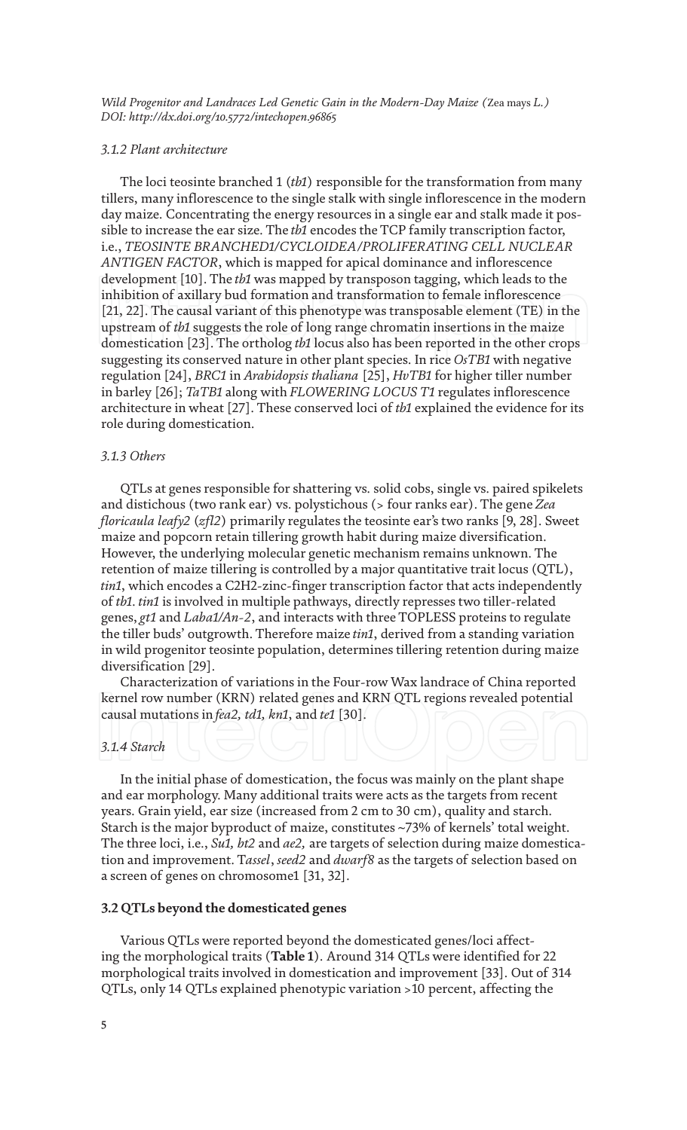#### *3.1.2 Plant architecture*

The loci teosinte branched 1 (*tb1*) responsible for the transformation from many tillers, many inflorescence to the single stalk with single inflorescence in the modern day maize. Concentrating the energy resources in a single ear and stalk made it possible to increase the ear size. The *tb1* encodes the TCP family transcription factor, i.e., *TEOSINTE BRANCHED1/CYCLOIDEA/PROLIFERATING CELL NUCLEAR ANTIGEN FACTOR*, which is mapped for apical dominance and inflorescence development [10]. The *tb1* was mapped by transposon tagging, which leads to the inhibition of axillary bud formation and transformation to female inflorescence [21, 22]. The causal variant of this phenotype was transposable element (TE) in the upstream of *tb1* suggests the role of long range chromatin insertions in the maize domestication [23]. The ortholog *tb1* locus also has been reported in the other crops suggesting its conserved nature in other plant species. In rice *OsTB1* with negative regulation [24], *BRC1* in *Arabidopsis thaliana* [25], *HvTB1* for higher tiller number in barley [26]; *TaTB1* along with *FLOWERING LOCUS T1* regulates inflorescence architecture in wheat [27]. These conserved loci of *tb1* explained the evidence for its role during domestication.

#### *3.1.3 Others*

QTLs at genes responsible for shattering vs. solid cobs, single vs. paired spikelets and distichous (two rank ear) vs. polystichous (> four ranks ear). The gene *Zea floricaula leafy2* (*zfl2*) primarily regulates the teosinte ear's two ranks [9, 28]. Sweet maize and popcorn retain tillering growth habit during maize diversification. However, the underlying molecular genetic mechanism remains unknown. The retention of maize tillering is controlled by a major quantitative trait locus (QTL), *tin1*, which encodes a C2H2-zinc-finger transcription factor that acts independently of *tb1*. *tin1* is involved in multiple pathways, directly represses two tiller-related genes, *gt1* and *Laba1/An-2*, and interacts with three TOPLESS proteins to regulate the tiller buds' outgrowth. Therefore maize *tin1*, derived from a standing variation in wild progenitor teosinte population, determines tillering retention during maize diversification [29].

Characterization of variations in the Four-row Wax landrace of China reported kernel row number (KRN) related genes and KRN QTL regions revealed potential causal mutations in *fea2, td1, kn1*, and *te1* [30].

#### *3.1.4 Starch*

In the initial phase of domestication, the focus was mainly on the plant shape and ear morphology. Many additional traits were acts as the targets from recent years. Grain yield, ear size (increased from 2 cm to 30 cm), quality and starch. Starch is the major byproduct of maize, constitutes ~73% of kernels' total weight. The three loci, i.e., *Su1, bt2* and *ae2,* are targets of selection during maize domestication and improvement. T*assel*, *seed2* and *dwarf8* as the targets of selection based on a screen of genes on chromosome1 [31, 32].

#### **3.2 QTLs beyond the domesticated genes**

Various QTLs were reported beyond the domesticated genes/loci affecting the morphological traits (**Table 1**). Around 314 QTLs were identified for 22 morphological traits involved in domestication and improvement [33]. Out of 314 QTLs, only 14 QTLs explained phenotypic variation >10 percent, affecting the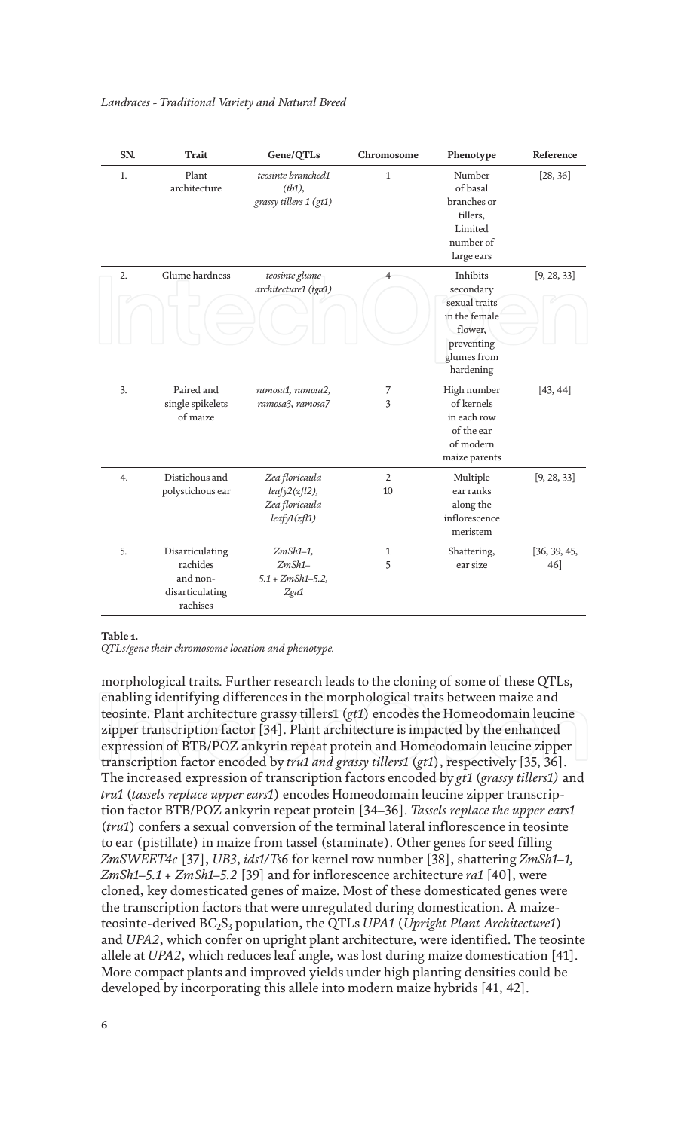| SN. | <b>Trait</b>                                                           | Gene/QTLs                                                            | Chromosome           | Phenotype                                                                                                    | Reference           |
|-----|------------------------------------------------------------------------|----------------------------------------------------------------------|----------------------|--------------------------------------------------------------------------------------------------------------|---------------------|
| 1.  | Plant<br>architecture                                                  | teosinte branched1<br>(tb1),<br>grassy tillers 1 (gt1)               | 1                    | Number<br>of basal<br>branches or<br>tillers,<br>Limited<br>number of<br>large ears                          | [28, 36]            |
| 2.  | Glume hardness                                                         | teosinte glume<br>architecture1 (tga1)                               | 4                    | Inhibits<br>secondary<br>sexual traits<br>in the female<br>flower,<br>preventing<br>glumes from<br>hardening | [9, 28, 33]         |
| 3.  | Paired and<br>single spikelets<br>of maize                             | ramosa1, ramosa2,<br>ramosa3, ramosa7                                | 7<br>3               | High number<br>of kernels<br>in each row<br>of the ear<br>of modern<br>maize parents                         | [43, 44]            |
| 4.  | Distichous and<br>polystichous ear                                     | Zea floricaula<br>$leafy2(zf12)$ ,<br>Zea floricaula<br>leafy1(zf11) | $\overline{2}$<br>10 | Multiple<br>ear ranks<br>along the<br>inflorescence<br>meristem                                              | [9, 28, 33]         |
| 5.  | Disarticulating<br>rachides<br>and non-<br>disarticulating<br>rachises | $ZmSh1-1$ ,<br>$ZmSh1-$<br>$5.1 + ZmSh1 - 5.2$<br>Zga1               | 1<br>5               | Shattering,<br>ear size                                                                                      | [36, 39, 45,<br>46] |

#### **Table 1.**

*QTLs/gene their chromosome location and phenotype.*

morphological traits. Further research leads to the cloning of some of these QTLs, enabling identifying differences in the morphological traits between maize and teosinte. Plant architecture grassy tillers1 (*gt1*) encodes the Homeodomain leucine zipper transcription factor [34]. Plant architecture is impacted by the enhanced expression of BTB/POZ ankyrin repeat protein and Homeodomain leucine zipper transcription factor encoded by *tru1 and grassy tillers1* (*gt1*), respectively [35, 36]. The increased expression of transcription factors encoded by *gt1* (*grassy tillers1)* and *tru1* (*tassels replace upper ears1*) encodes Homeodomain leucine zipper transcription factor BTB/POZ ankyrin repeat protein [34–36]. *Tassels replace the upper ears1* (*tru1*) confers a sexual conversion of the terminal lateral inflorescence in teosinte to ear (pistillate) in maize from tassel (staminate). Other genes for seed filling *ZmSWEET4c* [37], *UB3*, *ids1/Ts6* for kernel row number [38], shattering *ZmSh1–1, ZmSh1–5.1 + ZmSh1–5.2* [39] and for inflorescence architecture *ra1* [40], were cloned, key domesticated genes of maize. Most of these domesticated genes were the transcription factors that were unregulated during domestication. A maizeteosinte-derived BC2S3 population, the QTLs *UPA1* (*Upright Plant Architecture1*) and *UPA2*, which confer on upright plant architecture, were identified. The teosinte allele at *UPA2*, which reduces leaf angle, was lost during maize domestication [41]. More compact plants and improved yields under high planting densities could be developed by incorporating this allele into modern maize hybrids [41, 42].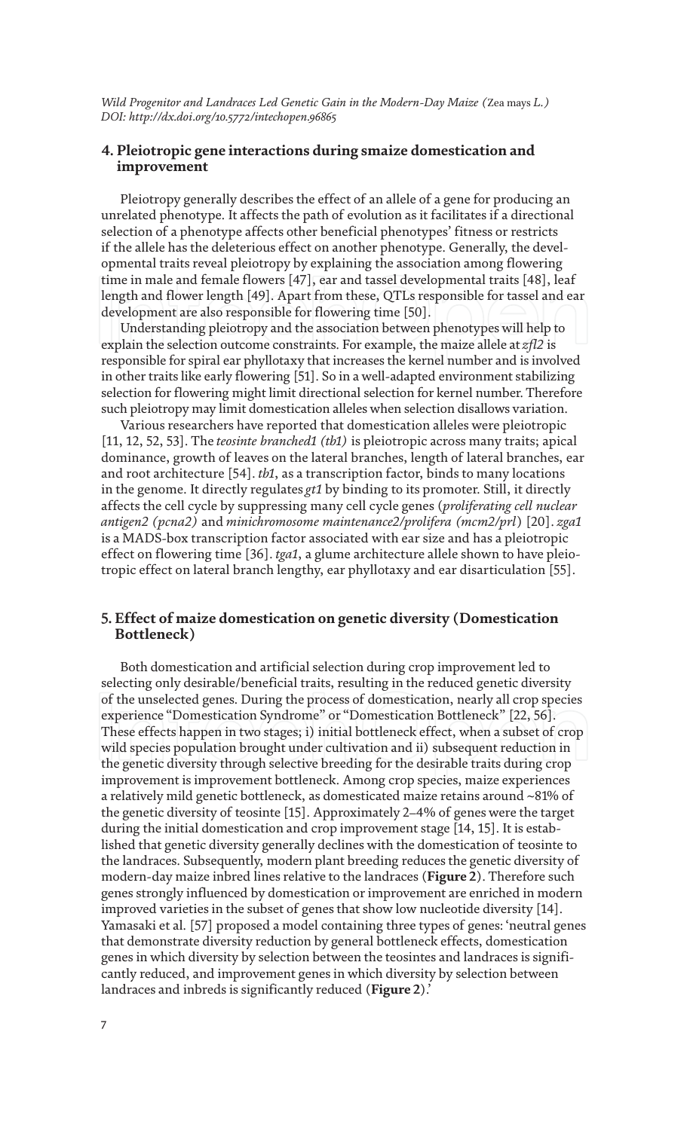#### **4. Pleiotropic gene interactions during smaize domestication and improvement**

Pleiotropy generally describes the effect of an allele of a gene for producing an unrelated phenotype. It affects the path of evolution as it facilitates if a directional selection of a phenotype affects other beneficial phenotypes' fitness or restricts if the allele has the deleterious effect on another phenotype. Generally, the developmental traits reveal pleiotropy by explaining the association among flowering time in male and female flowers [47], ear and tassel developmental traits [48], leaf length and flower length [49]. Apart from these, QTLs responsible for tassel and ear development are also responsible for flowering time [50].

Understanding pleiotropy and the association between phenotypes will help to explain the selection outcome constraints. For example, the maize allele at *zfl2* is responsible for spiral ear phyllotaxy that increases the kernel number and is involved in other traits like early flowering [51]. So in a well-adapted environment stabilizing selection for flowering might limit directional selection for kernel number. Therefore such pleiotropy may limit domestication alleles when selection disallows variation.

Various researchers have reported that domestication alleles were pleiotropic [11, 12, 52, 53]. The *teosinte branched1 (tb1)* is pleiotropic across many traits; apical dominance, growth of leaves on the lateral branches, length of lateral branches, ear and root architecture [54]. *tb1*, as a transcription factor, binds to many locations in the genome. It directly regulates *gt1* by binding to its promoter. Still, it directly affects the cell cycle by suppressing many cell cycle genes (*proliferating cell nuclear antigen2 (pcna2)* and *minichromosome maintenance2/prolifera (mcm2/prl*) [20]. *zga1* is a MADS-box transcription factor associated with ear size and has a pleiotropic effect on flowering time [36]. *tga1*, a glume architecture allele shown to have pleiotropic effect on lateral branch lengthy, ear phyllotaxy and ear disarticulation [55].

#### **5. Effect of maize domestication on genetic diversity (Domestication Bottleneck)**

Both domestication and artificial selection during crop improvement led to selecting only desirable/beneficial traits, resulting in the reduced genetic diversity of the unselected genes. During the process of domestication, nearly all crop species experience "Domestication Syndrome" or "Domestication Bottleneck" [22, 56]. These effects happen in two stages; i) initial bottleneck effect, when a subset of crop wild species population brought under cultivation and ii) subsequent reduction in the genetic diversity through selective breeding for the desirable traits during crop improvement is improvement bottleneck. Among crop species, maize experiences a relatively mild genetic bottleneck, as domesticated maize retains around ~81% of the genetic diversity of teosinte [15]. Approximately 2–4% of genes were the target during the initial domestication and crop improvement stage [14, 15]. It is established that genetic diversity generally declines with the domestication of teosinte to the landraces. Subsequently, modern plant breeding reduces the genetic diversity of modern-day maize inbred lines relative to the landraces (**Figure 2**). Therefore such genes strongly influenced by domestication or improvement are enriched in modern improved varieties in the subset of genes that show low nucleotide diversity [14]. Yamasaki et al. [57] proposed a model containing three types of genes: 'neutral genes that demonstrate diversity reduction by general bottleneck effects, domestication genes in which diversity by selection between the teosintes and landraces is significantly reduced, and improvement genes in which diversity by selection between landraces and inbreds is significantly reduced (**Figure 2**).'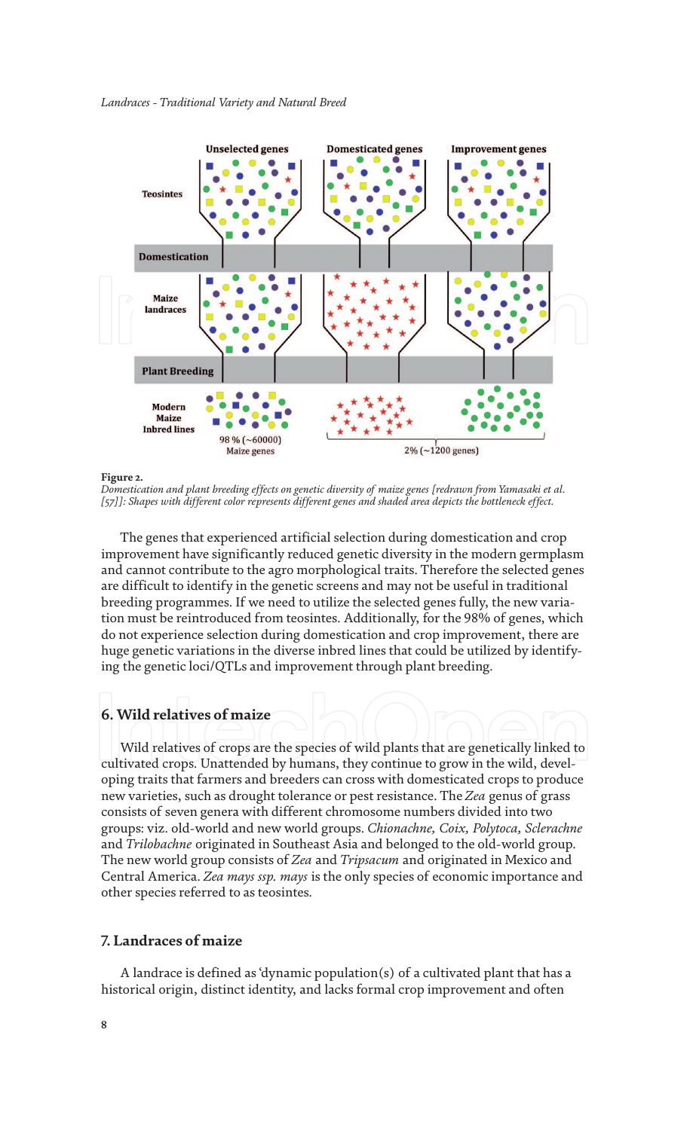

**Figure 2.**

*Domestication and plant breeding effects on genetic diversity of maize genes [redrawn from Yamasaki et al. [57]]: Shapes with different color represents different genes and shaded area depicts the bottleneck effect.*

The genes that experienced artificial selection during domestication and crop improvement have significantly reduced genetic diversity in the modern germplasm and cannot contribute to the agro morphological traits. Therefore the selected genes are difficult to identify in the genetic screens and may not be useful in traditional breeding programmes. If we need to utilize the selected genes fully, the new variation must be reintroduced from teosintes. Additionally, for the 98% of genes, which do not experience selection during domestication and crop improvement, there are huge genetic variations in the diverse inbred lines that could be utilized by identifying the genetic loci/QTLs and improvement through plant breeding.

#### **6. Wild relatives of maize**

Wild relatives of crops are the species of wild plants that are genetically linked to cultivated crops. Unattended by humans, they continue to grow in the wild, developing traits that farmers and breeders can cross with domesticated crops to produce new varieties, such as drought tolerance or pest resistance. The *Zea* genus of grass consists of seven genera with different chromosome numbers divided into two groups: viz. old-world and new world groups. *Chionachne, Coix, Polytoca, Sclerachne* and *Trilobachne* originated in Southeast Asia and belonged to the old-world group. The new world group consists of *Zea* and *Tripsacum* and originated in Mexico and Central America. *Zea mays ssp. mays* is the only species of economic importance and other species referred to as teosintes.

#### **7. Landraces of maize**

A landrace is defined as 'dynamic population(s) of a cultivated plant that has a historical origin, distinct identity, and lacks formal crop improvement and often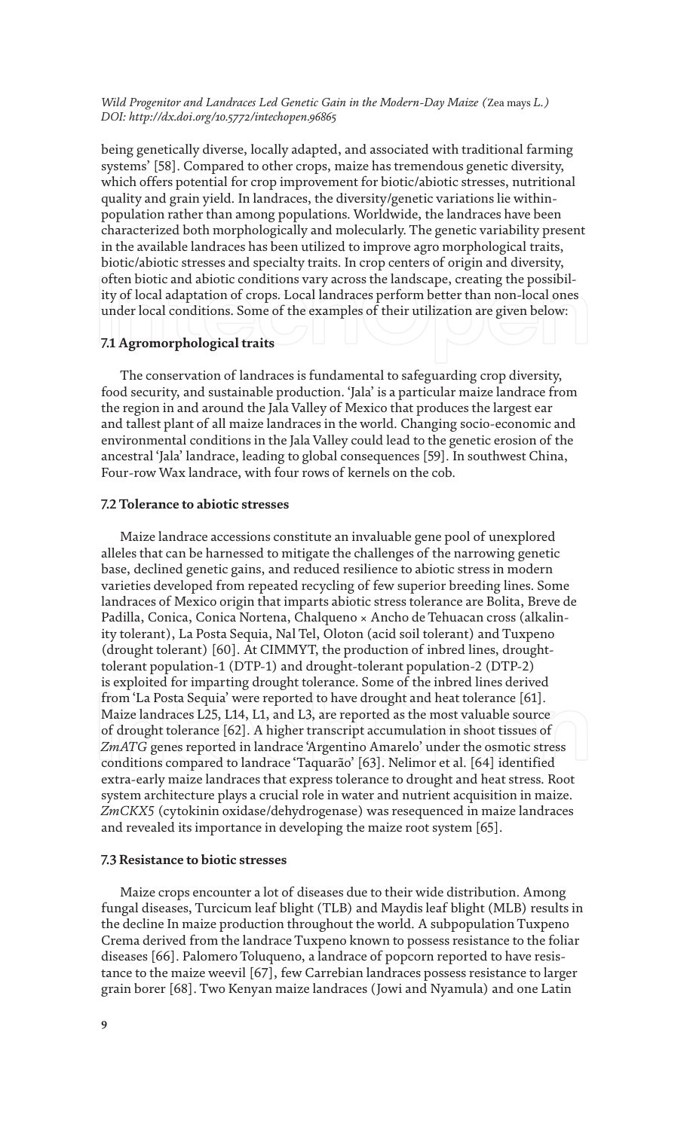being genetically diverse, locally adapted, and associated with traditional farming systems' [58]. Compared to other crops, maize has tremendous genetic diversity, which offers potential for crop improvement for biotic/abiotic stresses, nutritional quality and grain yield. In landraces, the diversity/genetic variations lie withinpopulation rather than among populations. Worldwide, the landraces have been characterized both morphologically and molecularly. The genetic variability present in the available landraces has been utilized to improve agro morphological traits, biotic/abiotic stresses and specialty traits. In crop centers of origin and diversity, often biotic and abiotic conditions vary across the landscape, creating the possibility of local adaptation of crops. Local landraces perform better than non-local ones under local conditions. Some of the examples of their utilization are given below:

#### **7.1 Agromorphological traits**

The conservation of landraces is fundamental to safeguarding crop diversity, food security, and sustainable production. 'Jala' is a particular maize landrace from the region in and around the Jala Valley of Mexico that produces the largest ear and tallest plant of all maize landraces in the world. Changing socio-economic and environmental conditions in the Jala Valley could lead to the genetic erosion of the ancestral 'Jala' landrace, leading to global consequences [59]. In southwest China, Four-row Wax landrace, with four rows of kernels on the cob.

#### **7.2 Tolerance to abiotic stresses**

Maize landrace accessions constitute an invaluable gene pool of unexplored alleles that can be harnessed to mitigate the challenges of the narrowing genetic base, declined genetic gains, and reduced resilience to abiotic stress in modern varieties developed from repeated recycling of few superior breeding lines. Some landraces of Mexico origin that imparts abiotic stress tolerance are Bolita, Breve de Padilla, Conica, Conica Nortena, Chalqueno × Ancho de Tehuacan cross (alkalinity tolerant), La Posta Sequia, Nal Tel, Oloton (acid soil tolerant) and Tuxpeno (drought tolerant) [60]. At CIMMYT, the production of inbred lines, droughttolerant population-1 (DTP-1) and drought-tolerant population-2 (DTP-2) is exploited for imparting drought tolerance. Some of the inbred lines derived from 'La Posta Sequia' were reported to have drought and heat tolerance [61]. Maize landraces L25, L14, L1, and L3, are reported as the most valuable source of drought tolerance [62]. A higher transcript accumulation in shoot tissues of *ZmATG* genes reported in landrace 'Argentino Amarelo' under the osmotic stress conditions compared to landrace 'Taquarão' [63]. Nelimor et al. [64] identified extra-early maize landraces that express tolerance to drought and heat stress. Root system architecture plays a crucial role in water and nutrient acquisition in maize. *ZmCKX5* (cytokinin oxidase/dehydrogenase) was resequenced in maize landraces and revealed its importance in developing the maize root system [65].

#### **7.3 Resistance to biotic stresses**

Maize crops encounter a lot of diseases due to their wide distribution. Among fungal diseases, Turcicum leaf blight (TLB) and Maydis leaf blight (MLB) results in the decline In maize production throughout the world. A subpopulation Tuxpeno Crema derived from the landrace Tuxpeno known to possess resistance to the foliar diseases [66]. Palomero Toluqueno, a landrace of popcorn reported to have resistance to the maize weevil [67], few Carrebian landraces possess resistance to larger grain borer [68]. Two Kenyan maize landraces (Jowi and Nyamula) and one Latin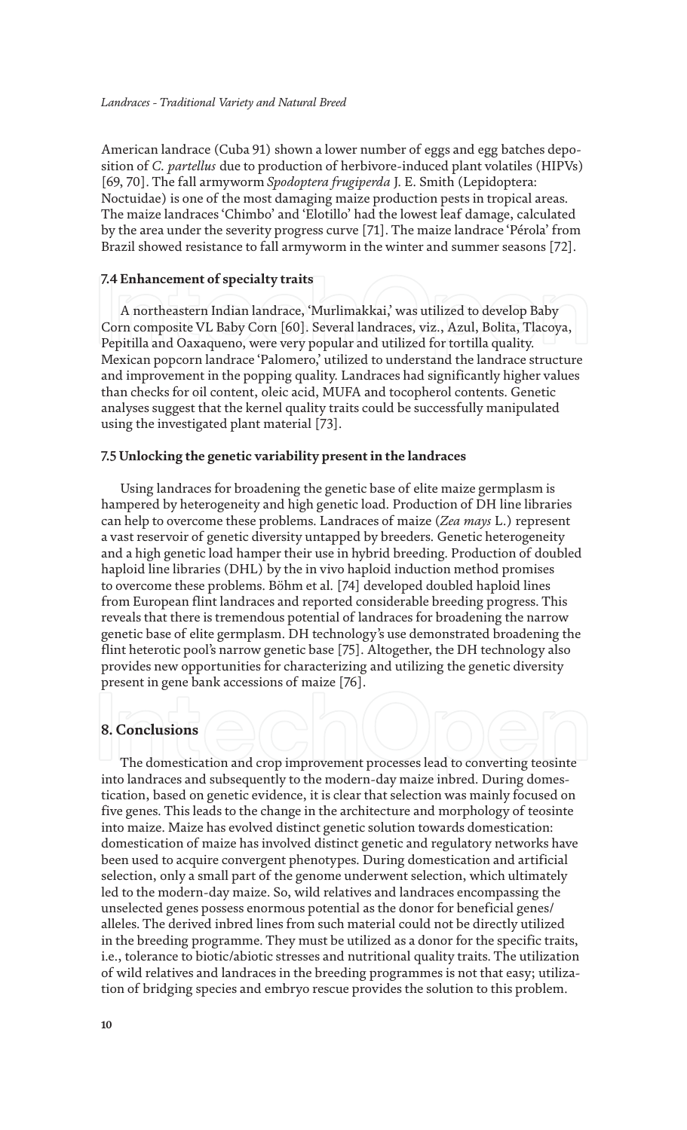American landrace (Cuba 91) shown a lower number of eggs and egg batches deposition of *C. partellus* due to production of herbivore-induced plant volatiles (HIPVs) [69, 70]. The fall armyworm *Spodoptera frugiperda* J. E. Smith (Lepidoptera: Noctuidae) is one of the most damaging maize production pests in tropical areas. The maize landraces 'Chimbo' and 'Elotillo' had the lowest leaf damage, calculated by the area under the severity progress curve [71]. The maize landrace 'Pérola' from Brazil showed resistance to fall armyworm in the winter and summer seasons [72].

#### **7.4 Enhancement of specialty traits**

A northeastern Indian landrace, 'Murlimakkai,' was utilized to develop Baby Corn composite VL Baby Corn [60]. Several landraces, viz., Azul, Bolita, Tlacoya, Pepitilla and Oaxaqueno, were very popular and utilized for tortilla quality. Mexican popcorn landrace 'Palomero,' utilized to understand the landrace structure and improvement in the popping quality. Landraces had significantly higher values than checks for oil content, oleic acid, MUFA and tocopherol contents. Genetic analyses suggest that the kernel quality traits could be successfully manipulated using the investigated plant material [73].

#### **7.5 Unlocking the genetic variability present in the landraces**

Using landraces for broadening the genetic base of elite maize germplasm is hampered by heterogeneity and high genetic load. Production of DH line libraries can help to overcome these problems. Landraces of maize (*Zea mays* L.) represent a vast reservoir of genetic diversity untapped by breeders. Genetic heterogeneity and a high genetic load hamper their use in hybrid breeding. Production of doubled haploid line libraries (DHL) by the in vivo haploid induction method promises to overcome these problems. Böhm et al. [74] developed doubled haploid lines from European flint landraces and reported considerable breeding progress. This reveals that there is tremendous potential of landraces for broadening the narrow genetic base of elite germplasm. DH technology's use demonstrated broadening the flint heterotic pool's narrow genetic base [75]. Altogether, the DH technology also provides new opportunities for characterizing and utilizing the genetic diversity present in gene bank accessions of maize [76].

#### **8. Conclusions**

The domestication and crop improvement processes lead to converting teosinte into landraces and subsequently to the modern-day maize inbred. During domestication, based on genetic evidence, it is clear that selection was mainly focused on five genes. This leads to the change in the architecture and morphology of teosinte into maize. Maize has evolved distinct genetic solution towards domestication: domestication of maize has involved distinct genetic and regulatory networks have been used to acquire convergent phenotypes. During domestication and artificial selection, only a small part of the genome underwent selection, which ultimately led to the modern-day maize. So, wild relatives and landraces encompassing the unselected genes possess enormous potential as the donor for beneficial genes/ alleles. The derived inbred lines from such material could not be directly utilized in the breeding programme. They must be utilized as a donor for the specific traits, i.e., tolerance to biotic/abiotic stresses and nutritional quality traits. The utilization of wild relatives and landraces in the breeding programmes is not that easy; utilization of bridging species and embryo rescue provides the solution to this problem.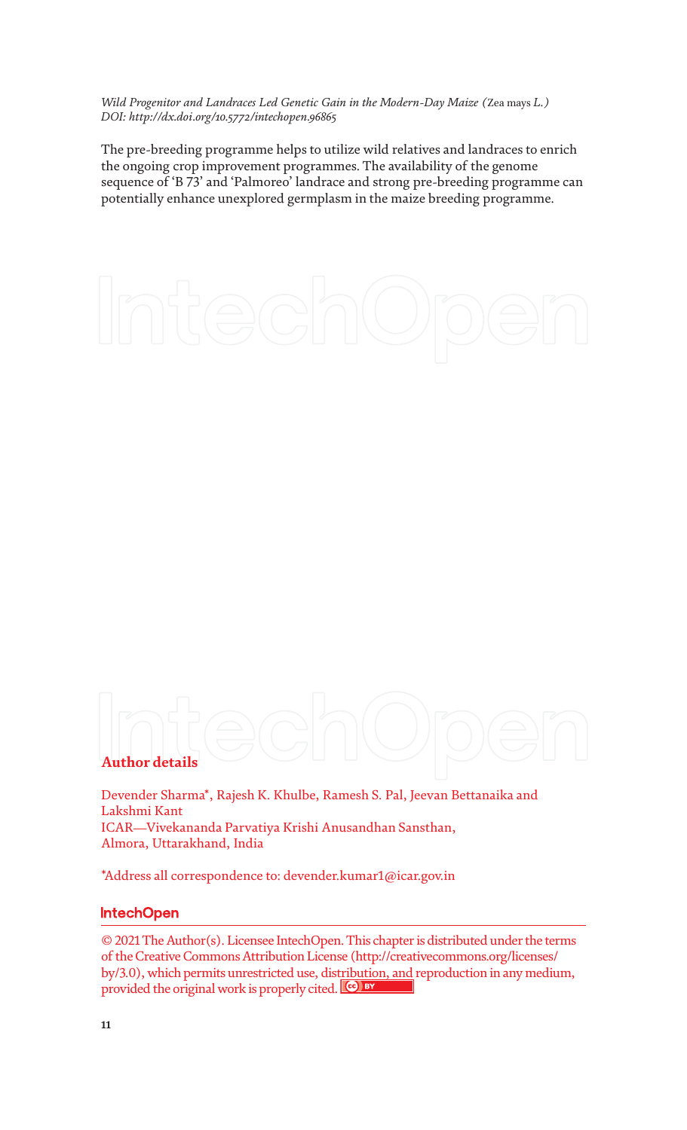The pre-breeding programme helps to utilize wild relatives and landraces to enrich the ongoing crop improvement programmes. The availability of the genome sequence of 'B 73' and 'Palmoreo' landrace and strong pre-breeding programme can potentially enhance unexplored germplasm in the maize breeding programme.

# **Author details**

Devender Sharma\*, Rajesh K. Khulbe, Ramesh S. Pal, Jeevan Bettanaika and Lakshmi Kant ICAR—Vivekananda Parvatiya Krishi Anusandhan Sansthan, Almora, Uttarakhand, India

\*Address all correspondence to: devender.kumar1@icar.gov.in

#### **IntechOpen**

© 2021 The Author(s). Licensee IntechOpen. This chapter is distributed under the terms of the Creative Commons Attribution License (http://creativecommons.org/licenses/ by/3.0), which permits unrestricted use, distribution, and reproduction in any medium, provided the original work is properly cited.  $\left[\mathbf{G}\right]$  by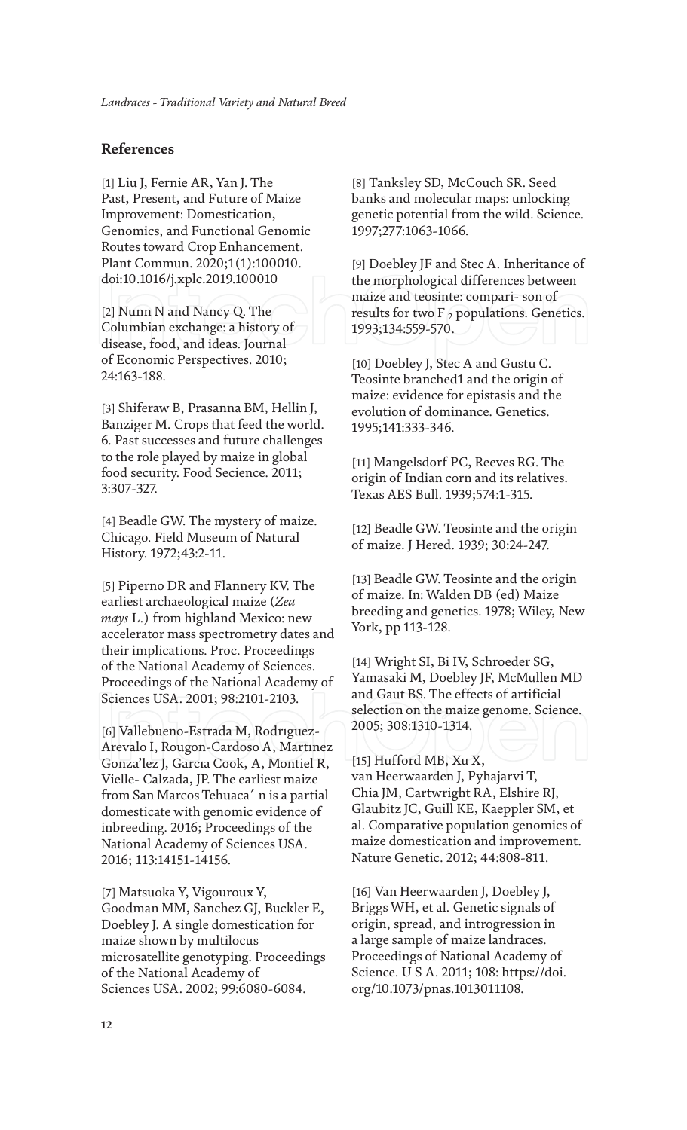### **References**

[1] Liu J, Fernie AR, Yan J. The Past, Present, and Future of Maize Improvement: Domestication, Genomics, and Functional Genomic Routes toward Crop Enhancement. Plant Commun. 2020;1(1):100010. doi:10.1016/j.xplc.2019.100010

[2] Nunn N and Nancy Q. The Columbian exchange: a history of disease, food, and ideas. Journal of Economic Perspectives. 2010; 24:163-188.

[3] Shiferaw B, Prasanna BM, Hellin J, Banziger M. Crops that feed the world. 6. Past successes and future challenges to the role played by maize in global food security. Food Secience. 2011; 3:307-327.

[4] Beadle GW. The mystery of maize. Chicago. Field Museum of Natural History. 1972;43:2-11.

[5] Piperno DR and Flannery KV. The earliest archaeological maize (*Zea mays* L.) from highland Mexico: new accelerator mass spectrometry dates and their implications. Proc. Proceedings of the National Academy of Sciences. Proceedings of the National Academy of Sciences USA. 2001; 98:2101-2103.

[6] Vallebueno-Estrada M, Rodrıguez-Arevalo I, Rougon-Cardoso A, Martınez Gonza'lez J, Garcıa Cook, A, Montiel R, Vielle- Calzada, JP. The earliest maize from San Marcos Tehuaca´ n is a partial domesticate with genomic evidence of inbreeding. 2016; Proceedings of the National Academy of Sciences USA. 2016; 113:14151-14156.

[7] Matsuoka Y, Vigouroux Y, Goodman MM, Sanchez GJ, Buckler E, Doebley J. A single domestication for maize shown by multilocus microsatellite genotyping. Proceedings of the National Academy of Sciences USA. 2002; 99:6080-6084.

[8] Tanksley SD, McCouch SR. Seed banks and molecular maps: unlocking genetic potential from the wild. Science. 1997;277:1063-1066.

[9] Doebley JF and Stec A. Inheritance of the morphological differences between maize and teosinte: compari- son of results for two  $F_2$  populations. Genetics. 1993;134:559-570.

[10] Doebley J, Stec A and Gustu C. Teosinte branched1 and the origin of maize: evidence for epistasis and the evolution of dominance. Genetics. 1995;141:333-346.

[11] Mangelsdorf PC, Reeves RG. The origin of Indian corn and its relatives. Texas AES Bull. 1939;574:1-315.

[12] Beadle GW. Teosinte and the origin of maize. J Hered. 1939; 30:24-247.

[13] Beadle GW. Teosinte and the origin of maize. In: Walden DB (ed) Maize breeding and genetics. 1978; Wiley, New York, pp 113-128.

[14] Wright SI, Bi IV, Schroeder SG, Yamasaki M, Doebley JF, McMullen MD and Gaut BS. The effects of artificial selection on the maize genome. Science. 2005; 308:1310-1314.

[15] Hufford MB, Xu X, van Heerwaarden J, Pyhajarvi T, Chia JM, Cartwright RA, Elshire RJ, Glaubitz JC, Guill KE, Kaeppler SM, et al. Comparative population genomics of maize domestication and improvement. Nature Genetic. 2012; 44:808-811.

[16] Van Heerwaarden J, Doebley J, Briggs WH, et al. Genetic signals of origin, spread, and introgression in a large sample of maize landraces. Proceedings of National Academy of Science. U S A. 2011; 108: https://doi. org/10.1073/pnas.1013011108.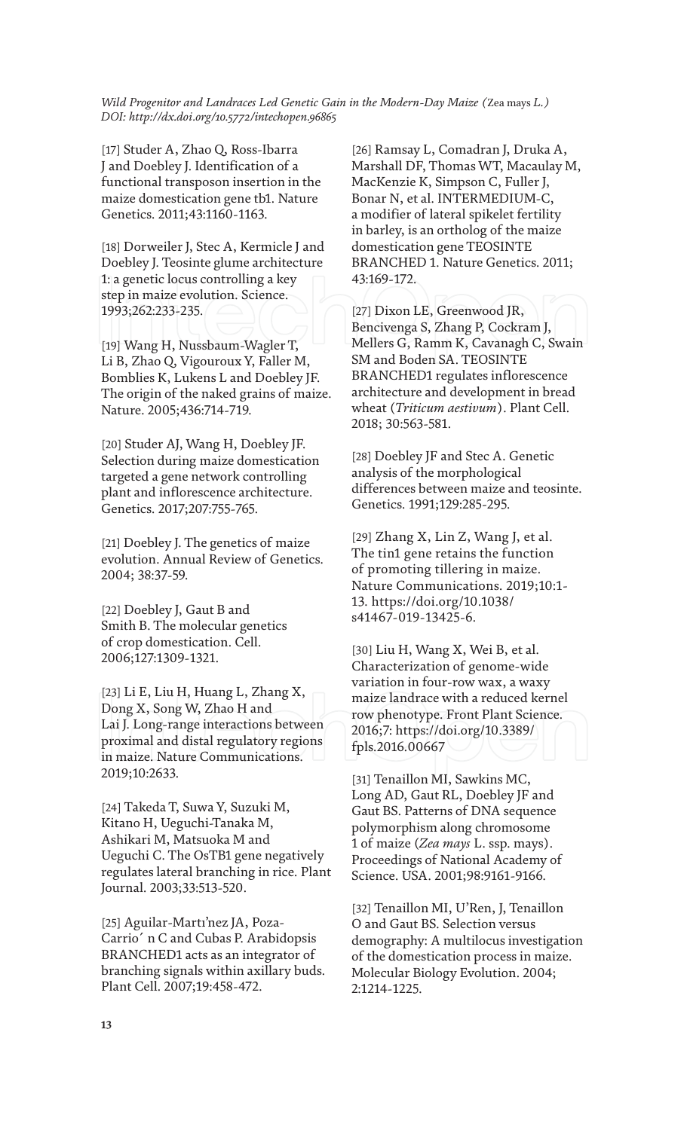[17] Studer A, Zhao Q, Ross-Ibarra J and Doebley J. Identification of a functional transposon insertion in the maize domestication gene tb1. Nature Genetics. 2011;43:1160-1163.

[18] Dorweiler J, Stec A, Kermicle J and Doebley J. Teosinte glume architecture 1: a genetic locus controlling a key step in maize evolution. Science. 1993;262:233-235.

[19] Wang H, Nussbaum-Wagler T, Li B, Zhao Q, Vigouroux Y, Faller M, Bomblies K, Lukens L and Doebley JF. The origin of the naked grains of maize. Nature. 2005;436:714-719.

[20] Studer AJ, Wang H, Doebley JF. Selection during maize domestication targeted a gene network controlling plant and inflorescence architecture. Genetics. 2017;207:755-765.

[21] Doebley J. The genetics of maize evolution. Annual Review of Genetics. 2004; 38:37-59.

[22] Doebley J, Gaut B and Smith B. The molecular genetics of crop domestication. Cell. 2006;127:1309-1321.

[23] Li E, Liu H, Huang L, Zhang X, Dong X, Song W, Zhao H and Lai J. Long-range interactions between proximal and distal regulatory regions in maize. Nature Communications. 2019;10:2633.

[24] Takeda T, Suwa Y, Suzuki M, Kitano H, Ueguchi-Tanaka M, Ashikari M, Matsuoka M and Ueguchi C. The OsTB1 gene negatively regulates lateral branching in rice. Plant Journal. 2003;33:513-520.

[25] Aguilar-Martı'nez JA, Poza-Carrio´ n C and Cubas P. Arabidopsis BRANCHED1 acts as an integrator of branching signals within axillary buds. Plant Cell. 2007;19:458-472.

[26] Ramsay L, Comadran J, Druka A, Marshall DF, Thomas WT, Macaulay M, MacKenzie K, Simpson C, Fuller J, Bonar N, et al. INTERMEDIUM-C, a modifier of lateral spikelet fertility in barley, is an ortholog of the maize domestication gene TEOSINTE BRANCHED 1. Nature Genetics. 2011; 43:169-172.

[27] Dixon LE, Greenwood JR, Bencivenga S, Zhang P, Cockram J, Mellers G, Ramm K, Cavanagh C, Swain SM and Boden SA. TEOSINTE BRANCHED1 regulates inflorescence architecture and development in bread wheat (*Triticum aestivum*). Plant Cell. 2018; 30:563-581.

[28] Doebley JF and Stec A. Genetic analysis of the morphological differences between maize and teosinte. Genetics. 1991;129:285-295.

[29] Zhang X, Lin Z, Wang J, et al. The tin1 gene retains the function of promoting tillering in maize. Nature Communications. 2019;10:1- 13. https://doi.org/10.1038/ s41467-019-13425-6.

[30] Liu H, Wang X, Wei B, et al. Characterization of genome-wide variation in four-row wax, a waxy maize landrace with a reduced kernel row phenotype. Front Plant Science. 2016;7: https://doi.org/10.3389/ fpls.2016.00667

[31] Tenaillon MI, Sawkins MC, Long AD, Gaut RL, Doebley JF and Gaut BS. Patterns of DNA sequence polymorphism along chromosome 1 of maize (*Zea mays* L. ssp. mays). Proceedings of National Academy of Science. USA. 2001;98:9161-9166.

[32] Tenaillon MI, U'Ren, J, Tenaillon O and Gaut BS. Selection versus demography: A multilocus investigation of the domestication process in maize. Molecular Biology Evolution. 2004; 2:1214-1225.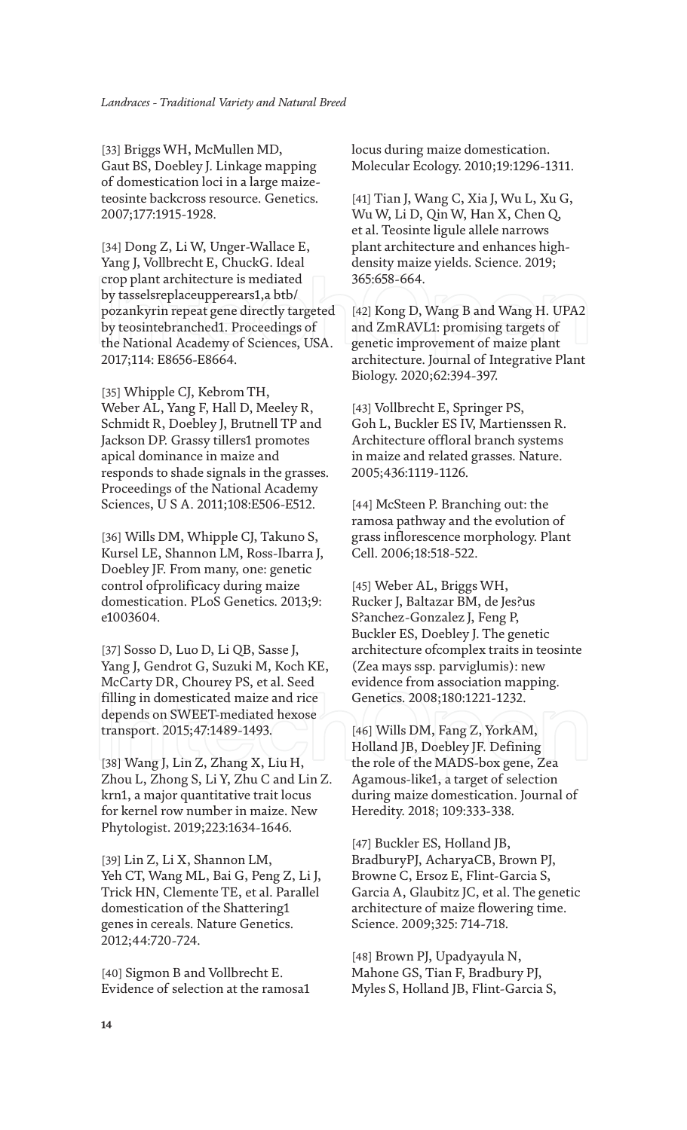[33] Briggs WH, McMullen MD, Gaut BS, Doebley J. Linkage mapping of domestication loci in a large maizeteosinte backcross resource. Genetics. 2007;177:1915-1928.

[34] Dong Z, Li W, Unger-Wallace E, Yang J, Vollbrecht E, ChuckG. Ideal crop plant architecture is mediated by tasselsreplaceupperears1,a btb/ pozankyrin repeat gene directly targeted by teosintebranched1. Proceedings of the National Academy of Sciences, USA. 2017;114: E8656-E8664.

[35] Whipple CJ, Kebrom TH, Weber AL, Yang F, Hall D, Meeley R, Schmidt R, Doebley J, Brutnell TP and Jackson DP. Grassy tillers1 promotes apical dominance in maize and responds to shade signals in the grasses. Proceedings of the National Academy Sciences, U S A. 2011;108:E506-E512.

[36] Wills DM, Whipple CJ, Takuno S, Kursel LE, Shannon LM, Ross-Ibarra J, Doebley JF. From many, one: genetic control ofprolificacy during maize domestication. PLoS Genetics. 2013;9: e1003604.

[37] Sosso D, Luo D, Li QB, Sasse J, Yang J, Gendrot G, Suzuki M, Koch KE, McCarty DR, Chourey PS, et al. Seed filling in domesticated maize and rice depends on SWEET-mediated hexose transport. 2015;47:1489-1493.

[38] Wang J, Lin Z, Zhang X, Liu H, Zhou L, Zhong S, Li Y, Zhu C and Lin Z. krn1, a major quantitative trait locus for kernel row number in maize. New Phytologist. 2019;223:1634-1646.

[39] Lin Z, Li X, Shannon LM, Yeh CT, Wang ML, Bai G, Peng Z, Li J, Trick HN, Clemente TE, et al. Parallel domestication of the Shattering1 genes in cereals. Nature Genetics. 2012;44:720-724.

[40] Sigmon B and Vollbrecht E. Evidence of selection at the ramosa1 locus during maize domestication. Molecular Ecology. 2010;19:1296-1311.

[41] Tian J, Wang C, Xia J, Wu L, Xu G, Wu W, Li D, Qin W, Han X, Chen Q, et al. Teosinte ligule allele narrows plant architecture and enhances highdensity maize yields. Science. 2019; 365:658-664.

[42] Kong D, Wang B and Wang H. UPA2 and ZmRAVL1: promising targets of genetic improvement of maize plant architecture. Journal of Integrative Plant Biology. 2020;62:394-397.

[43] Vollbrecht E, Springer PS, Goh L, Buckler ES IV, Martienssen R. Architecture offloral branch systems in maize and related grasses. Nature. 2005;436:1119-1126.

[44] McSteen P. Branching out: the ramosa pathway and the evolution of grass inflorescence morphology. Plant Cell. 2006;18:518-522.

[45] Weber AL, Briggs WH, Rucker J, Baltazar BM, de Jes?us S?anchez-Gonzalez J, Feng P, Buckler ES, Doebley J. The genetic architecture ofcomplex traits in teosinte (Zea mays ssp. parviglumis): new evidence from association mapping. Genetics. 2008;180:1221-1232.

[46] Wills DM, Fang Z, YorkAM, Holland JB, Doebley JF. Defining the role of the MADS-box gene, Zea Agamous-like1, a target of selection during maize domestication. Journal of Heredity. 2018; 109:333-338.

[47] Buckler ES, Holland JB, BradburyPJ, AcharyaCB, Brown PJ, Browne C, Ersoz E, Flint-Garcia S, Garcia A, Glaubitz JC, et al. The genetic architecture of maize flowering time. Science. 2009;325: 714-718.

[48] Brown PJ, Upadyayula N, Mahone GS, Tian F, Bradbury PJ, Myles S, Holland JB, Flint-Garcia S,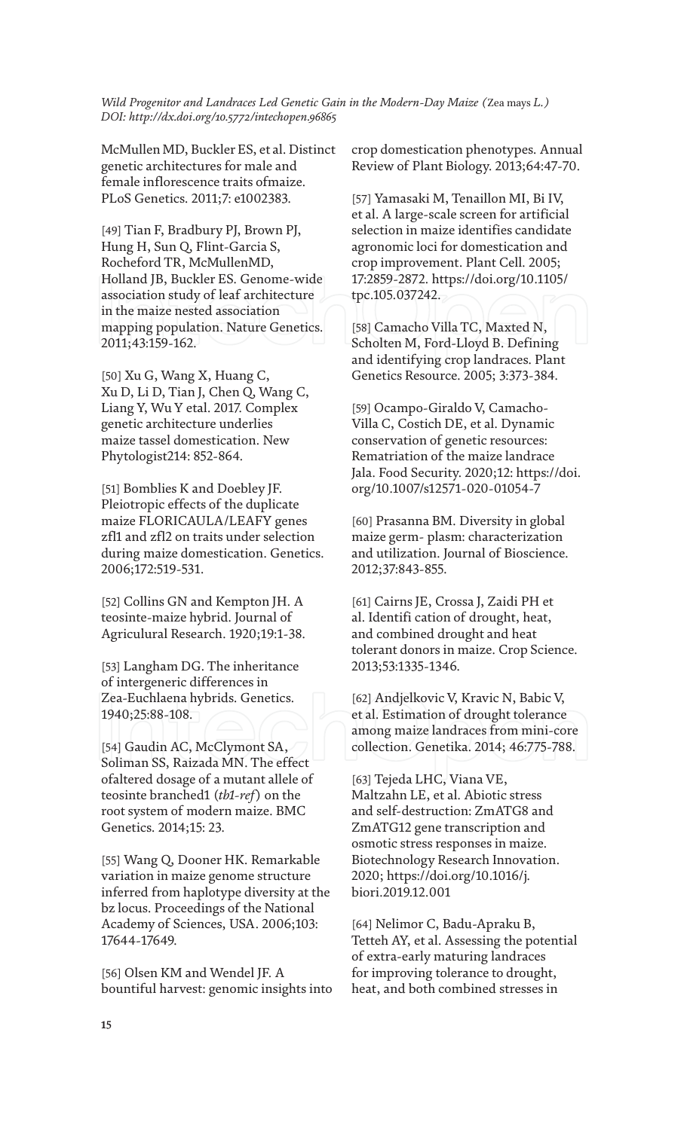McMullen MD, Buckler ES, et al. Distinct genetic architectures for male and female inflorescence traits ofmaize. PLoS Genetics. 2011;7: e1002383.

[49] Tian F, Bradbury PJ, Brown PJ, Hung H, Sun Q, Flint-Garcia S, Rocheford TR, McMullenMD, Holland JB, Buckler ES. Genome-wide association study of leaf architecture in the maize nested association mapping population. Nature Genetics. 2011;43:159-162.

[50] Xu G, Wang X, Huang C, Xu D, Li D, Tian J, Chen Q, Wang C, Liang Y, Wu Y etal. 2017. Complex genetic architecture underlies maize tassel domestication. New Phytologist214: 852-864.

[51] Bomblies K and Doebley JF. Pleiotropic effects of the duplicate maize FLORICAULA/LEAFY genes zfl1 and zfl2 on traits under selection during maize domestication. Genetics. 2006;172:519-531.

[52] Collins GN and Kempton JH. A teosinte-maize hybrid. Journal of Agriculural Research. 1920;19:1-38.

[53] Langham DG. The inheritance of intergeneric differences in Zea-Euchlaena hybrids. Genetics. 1940;25:88-108.

[54] Gaudin AC, McClymont SA, Soliman SS, Raizada MN. The effect ofaltered dosage of a mutant allele of teosinte branched1 (*tb1-ref*) on the root system of modern maize. BMC Genetics. 2014;15: 23.

[55] Wang Q, Dooner HK. Remarkable variation in maize genome structure inferred from haplotype diversity at the bz locus. Proceedings of the National Academy of Sciences, USA. 2006;103: 17644-17649.

[56] Olsen KM and Wendel JF. A bountiful harvest: genomic insights into crop domestication phenotypes. Annual Review of Plant Biology. 2013;64:47-70.

[57] Yamasaki M, Tenaillon MI, Bi IV, et al. A large-scale screen for artificial selection in maize identifies candidate agronomic loci for domestication and crop improvement. Plant Cell. 2005; 17:2859-2872. https://doi.org/10.1105/ tpc.105.037242.

[58] Camacho Villa TC, Maxted N, Scholten M, Ford-Lloyd B. Defining and identifying crop landraces. Plant Genetics Resource. 2005; 3:373-384.

[59] Ocampo-Giraldo V, Camacho-Villa C, Costich DE, et al. Dynamic conservation of genetic resources: Rematriation of the maize landrace Jala. Food Security. 2020;12: https://doi. org/10.1007/s12571-020-01054-7

[60] Prasanna BM. Diversity in global maize germ- plasm: characterization and utilization. Journal of Bioscience. 2012;37:843-855.

[61] Cairns JE, Crossa J, Zaidi PH et al. Identifi cation of drought, heat, and combined drought and heat tolerant donors in maize. Crop Science. 2013;53:1335-1346.

[62] Andjelkovic V, Kravic N, Babic V, et al. Estimation of drought tolerance among maize landraces from mini-core collection. Genetika. 2014; 46:775-788.

[63] Tejeda LHC, Viana VE, Maltzahn LE, et al. Abiotic stress and self-destruction: ZmATG8 and ZmATG12 gene transcription and osmotic stress responses in maize. Biotechnology Research Innovation. 2020; https://doi.org/10.1016/j. biori.2019.12.001

[64] Nelimor C, Badu-Apraku B, Tetteh AY, et al. Assessing the potential of extra-early maturing landraces for improving tolerance to drought, heat, and both combined stresses in